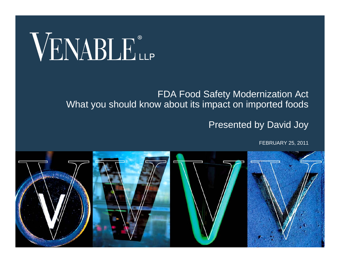# VENABLE®

#### FDA Food Safety Modernization Act What you should know about its impact on imported foods

#### Presented by David Joy

FEBRUARY 25, 2011

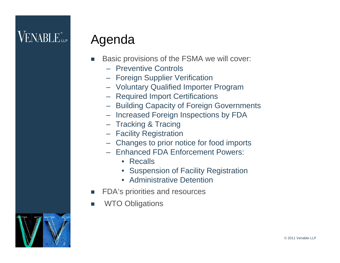#### **VENABLE** LLP

#### Agenda

- П Basic provisions of the FSMA we will cover:
	- Preventive Controls
	- Foreign Supplier Verification
	- Voluntary Qualified Importer Program
	- Required Import Certifications
	- Building Capacity of Foreign Governments
	- Increased Foreign Inspections by FDA
	- Tracking & Tracing
	- Facility Registration
	- Changes to prior notice for food imports
	- Enhanced FDA Enforcement Powers:
		- Recalls
		- Suspension of Facility Registration
		- Administrative Detention
- П FDA's priorities and resources
- П WTO Obligations

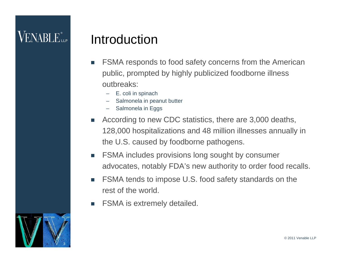#### Introduction

- П FSMA responds to food safety concerns from the American public, prompted by highly publicized foodborne illness outbreaks:
	- E. coli in spinach
	- Salmonela in peanut butter
	- Salmonela in Eggs
- П According to new CDC statistics, there are 3,000 deaths, 128,000 hospitalizations and 48 million illnesses annually in the U.S. caused by foodborne pathogens.
- **College**  FSMA includes provisions long sought by consumer advocates, notably FDA's new authority to order food recalls.
- П FSMA tends to impose U.S. food safety standards on the rest of the world.
- П FSMA is extremely detailed.

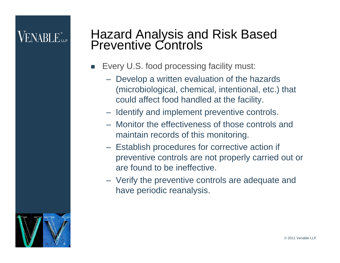## $\mathsf{V}\mathrm{ENARI}\_\mathrm{Lie}$

# Hazard Analysis and Risk Based Preventive Controls

- $\mathbb{R}^n$  Every U.S. food processing facility must:
	- Develop a written evaluation of the hazards (microbiological, chemical, intentional, etc.) that could affect food handled at the facility.
	- Identify and implement preventive controls.
	- Monitor the effectiveness of those controls and maintain records of this monitoring.
	- Establish procedures for corrective action if preventive controls are not properly carried out or are found to be ineffective.
	- Verify the preventive controls are adequate and have periodic reanalysis.

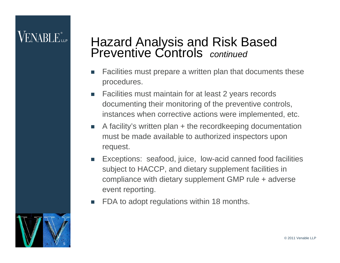#### VENABLE"

# Hazard Analysis and Risk Based Preventive Controls *continued*

- П Facilities must prepare a written plan that documents these procedures.
- $\mathcal{L}_{\mathcal{A}}$  Facilities must maintain for at least 2 years records documenting their monitoring of the preventive controls, instances when corrective actions were implemented, etc.
- П A facility's written plan + the recordkeeping documentation must be made available to authorized inspectors upon request.
- Exceptions: seafood, juice, low-acid canned food facilities subject to HACCP, and dietary supplement facilities in compliance with dietary supplement GMP rule + adverse event reporting.
- П FDA to adopt regulations within 18 months.

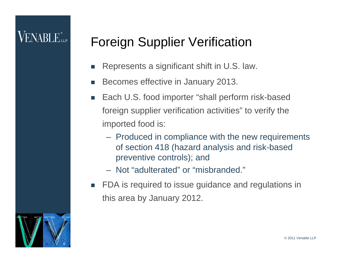### $\mathsf{V}\mathrm{ENARI}\,\mathrm{E}$ ile

#### Foreign Supplier Verification

- П Represents a significant shift in U.S. law.
- П Becomes effective in January 2013.
- T. Each U.S. food importer "shall perform risk-based foreign supplier verification activities" to verify the imported food is:
	- Produced in compliance with the new requirements of section 418 (hazard analysis and risk-based preventive controls); and
	- Not "adulterated" or "misbranded."
- $\mathcal{L}^{\mathcal{L}}$  FDA is required to issue guidance and regulations in this area by January 2012.

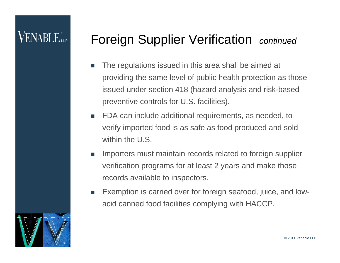#### $\mathsf{V}\mathrm{ENARI}\_\mathrm{Lie}$

#### Foreign Supplier Verification *continued*

- П The regulations issued in this area shall be aimed at providing the same level of public health protection as those issued under section 418 (hazard analysis and risk-based preventive controls for U.S. facilities).
- $\mathcal{C}^{\mathcal{A}}$  FDA can include additional requirements, as needed, to verify imported food is as safe as food produced and sold within the U.S.
- $\mathcal{C}$  Importers must maintain records related to foreign supplier verification programs for at least 2 years and make those records available to inspectors.
- $\mathcal{C}^{\mathcal{A}}$  Exemption is carried over for foreign seafood, juice, and lowacid canned food facilities complying with HACCP.

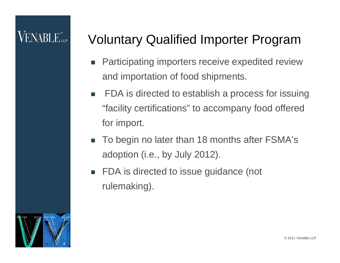#### Voluntary Qualified Importer Program

- $\overline{\phantom{a}}$  Participating importers receive expedited review and importation of food shipments.
- $\overline{\phantom{a}}$  FDA is directed to establish a process for issuing "facility certifications" to accompany food offered for import.
- $\overline{\phantom{a}}$  To begin no later than 18 months after FSMA's adoption (i.e., by July 2012).
- $\mathbb{R}^n$  FDA is directed to issue guidance (not rulemaking).

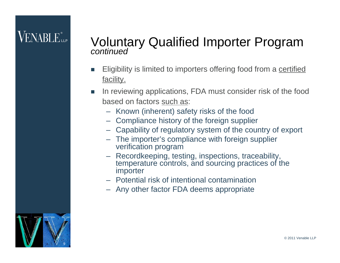# Voluntary Qualified Importer Program *continued*

- П Eligibility is limited to importers offering food from a certified facility.
- П In reviewing applications, FDA must consider risk of the food based on factors such as:
	- Known (inherent) safety risks of the food
	- Compliance history of the foreign supplier
	- Capability of regulatory system of the country of export
	- The importer's compliance with foreign supplier verification program
	- Recordkeeping, testing, inspections, traceability, temperature controls, and sourcing practices of the importer
	- Potential risk of intentional contamination
	- Any other factor FDA deems appropriate

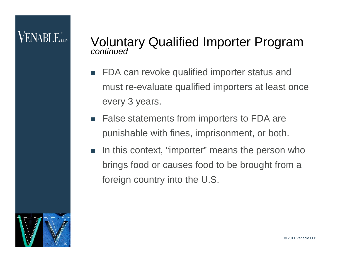### $\mathsf{V}\mathrm{ENARI}\,\mathrm{E}$ ile

# Voluntary Qualified Importer Program *continued*

- П FDA can revoke qualified importer status and must re-evaluate qualified importers at least once every 3 years.
- $\sim$  False statements from importers to FDA are punishable with fines, imprisonment, or both.
- $\overline{\mathbb{R}^n}$  In this context, "importer" means the person who brings food or causes food to be brought from a foreign country into the U.S.

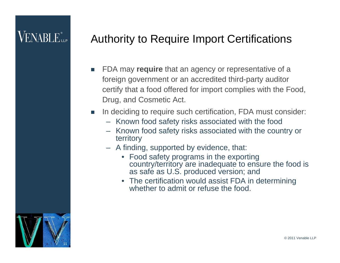### $\mathsf{VENABI}\, \mathsf{E}_{\mathsf{u}\mathsf{P}}^*$

#### Authority to Require Import Certifications

- П FDA may **require** that an agency or representative of a foreign government or an accredited third-party auditor certify that a food offered for import complies with the Food, Drug, and Cosmetic Act.
- $\mathcal{C}^{\mathcal{A}}$  In deciding to require such certification, FDA must consider:
	- Known food safety risks associated with the food
	- Known food safety risks associated with the country or territory
	- A finding, supported by evidence, that:
		- Food safety programs in the exporting country/territory are inadequate to ensure the food is as safe as U.S. produced version; and
		- The certification would assist FDA in determining whether to admit or refuse the food.

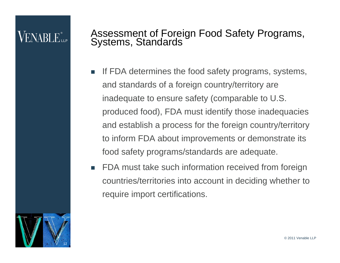#### VENABLE"

## Assessment of Foreign Food Safety Programs, Systems, Standards

- П If FDA determines the food safety programs, systems, and standards of a foreign country/territory are inadequate to ensure safety (comparable to U.S. produced food), FDA must identify those inadequacies and establish a process for the foreign country/territory to inform FDA about improvements or demonstrate its food safety programs/standards are adequate.
- П FDA must take such information received from foreign countries/territories into account in deciding whether to require import certifications.

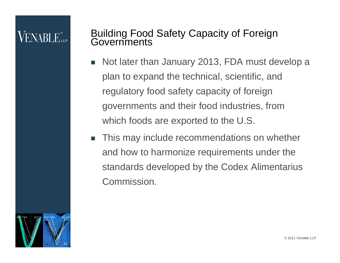## Building Food Safety Capacity of Foreign Governments

- П Not later than January 2013, FDA must develop a plan to expand the technical, scientific, and regulatory food safety capacity of foreign governments and their food industries, from which foods are exported to the U.S.
- $\sim$  This may include recommendations on whether and how to harmonize requirements under the standards developed by the Codex Alimentarius Commission.

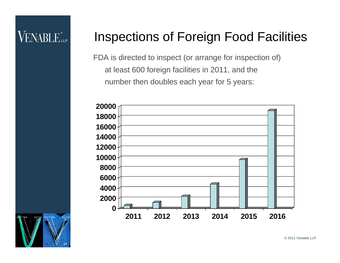## **VENABLE** LLP

#### Inspections of Foreign Food Facilities

FDA is directed to inspect (or arrange for inspection of) at least 600 foreign facilities in 2011, and the number then doubles each year for 5 years:



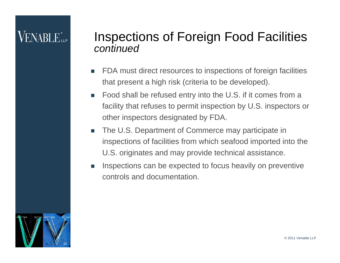#### VENARLE<sup>®</sup>

#### Inspections of Foreign Food Facilities *continued*

- П FDA must direct resources to inspections of foreign facilities that present a high risk (criteria to be developed).
- П Food shall be refused entry into the U.S. if it comes from a facility that refuses to permit inspection by U.S. inspectors or other inspectors designated by FDA.
- П The U.S. Department of Commerce may participate in inspections of facilities from which seafood imported into the U.S. originates and may provide technical assistance.
- П Inspections can be expected to focus heavily on preventive controls and documentation.

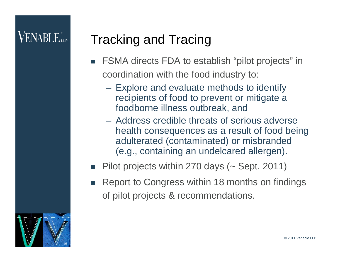### Tracking and Tracing

- FSMA directs FDA to establish "pilot projects" in coordination with the food industry to:
	- Explore and evaluate methods to identify recipients of food to prevent or mitigate a foodborne illness outbreak, and
	- Address credible threats of serious adverse health consequences as a result of food being adulterated (contaminated) or misbranded (e.g., containing an undelcared allergen).
- F Pilot projects within 270 days (~ Sept. 2011)
- L. Report to Congress within 18 months on findings of pilot projects & recommendations.

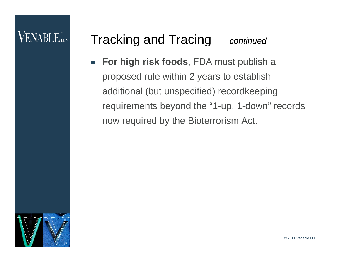#### Tracking and Tracing *continued*

П **For high risk foods**, FDA must publish a proposed rule within 2 years to establish additional (but unspecified) recordkeeping requirements beyond the "1-up, 1-down" records now required by the Bioterrorism Act.



© 2011 Venable LLP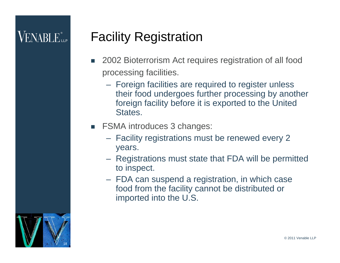### **VENABLE** LLP

#### Facility Registration

- П 2002 Bioterrorism Act requires registration of all food processing facilities.
	- Foreign facilities are required to register unless their food undergoes further processing by another foreign facility before it is exported to the United States.
- П FSMA introduces 3 changes:
	- Facility registrations must be renewed every 2 years.
	- Registrations must state that FDA will be permitted to inspect.
	- FDA can suspend a registration, in which case food from the facility cannot be distributed or imported into the U.S.

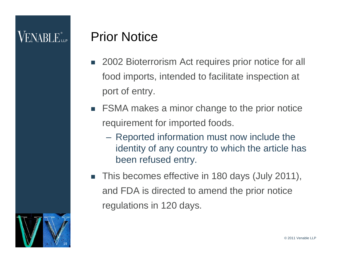## VENABLE"

#### Prior Notice

- 2002 Bioterrorism Act requires prior notice for all food imports, intended to facilitate inspection at port of entry.
- П FSMA makes a minor change to the prior notice requirement for imported foods.
	- – Reported information must now include the identity of any country to which the article has been refused entry.
- L. This becomes effective in 180 days (July 2011), and FDA is directed to amend the prior notice regulations in 120 days.

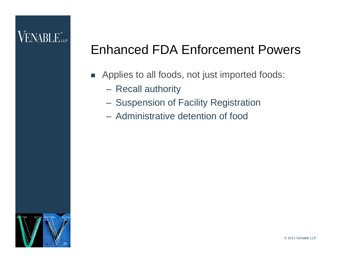#### VENABLE.

#### Enhanced FDA Enforcement Powers

- **Applies to all foods, not just imported foods:** 
	- Recall authority
	- Suspension of Facility Registration
	- Administrative detention of food

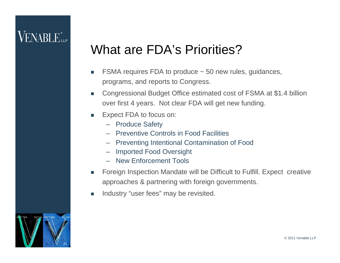#### What are FDA's Priorities?

- F FSMA requires FDA to produce ~ 50 new rules, guidances, programs, and reports to Congress.
- $\sim$  Congressional Budget Office estimated cost of FSMA at \$1.4 billion over first 4 years. Not clear FDA will get new funding.
- $\mathcal{L}_{\mathcal{A}}$  Expect FDA to focus on:
	- Produce Safety
	- Preventive Controls in Food Facilities
	- Preventing Intentional Contamination of Food
	- Imported Food Oversight
	- New Enforcement Tools
- Foreign Inspection Mandate will be Difficult to Fulfill. Expect creative approaches & partnering with foreign governments.
- F Industry "user fees" may be revisited.

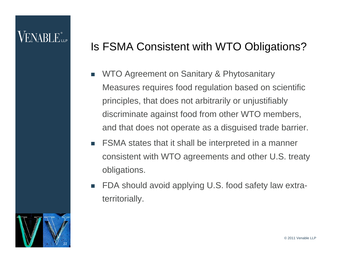#### $\mathsf{V}\mathrm{ENARI}\,\mathrm{E}$ ile

#### Is FSMA Consistent with WTO Obligations?

- П WTO Agreement on Sanitary & Phytosanitary Measures requires food regulation based on scientific principles, that does not arbitrarily or unjustifiably discriminate against food from other WTO members, and that does not operate as a disguised trade barrier.
- T. FSMA states that it shall be interpreted in a manner consistent with WTO agreements and other U.S. treaty obligations.
- T. FDA should avoid applying U.S. food safety law extraterritorially.